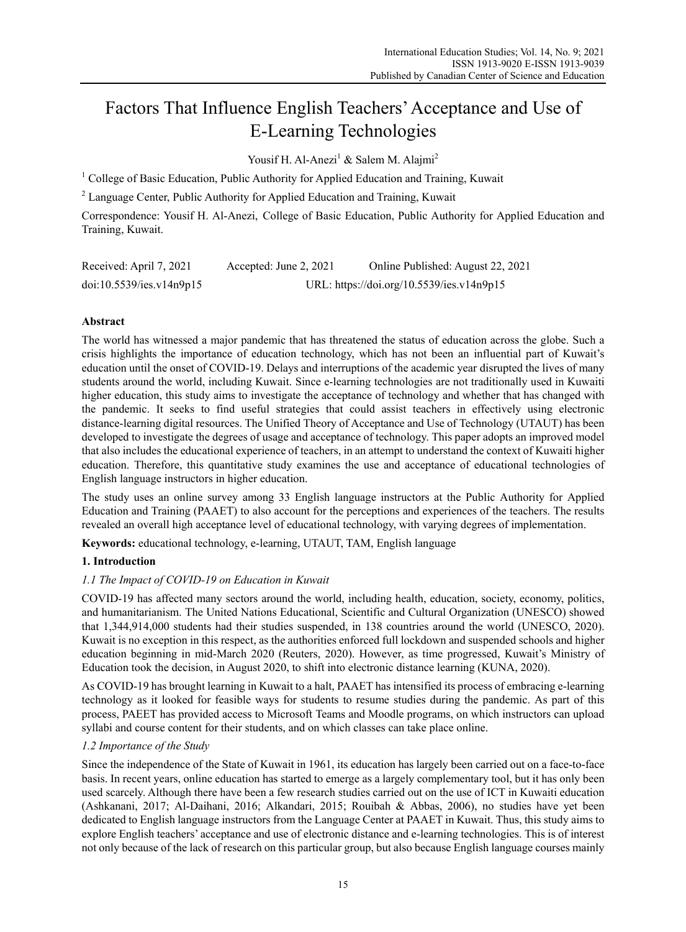# Factors That Influence English Teachers' Acceptance and Use of E-Learning Technologies

Yousif H. Al-Anezi<sup>1</sup> & Salem M. Alajmi<sup>2</sup>

<sup>1</sup> College of Basic Education, Public Authority for Applied Education and Training, Kuwait

<sup>2</sup> Language Center, Public Authority for Applied Education and Training, Kuwait

Correspondence: Yousif H. Al-Anezi, College of Basic Education, Public Authority for Applied Education and Training, Kuwait.

| Received: April 7, 2021  | Accepted: June 2, 2021 | Online Published: August 22, 2021         |
|--------------------------|------------------------|-------------------------------------------|
| doi:10.5539/ies.v14n9p15 |                        | URL: https://doi.org/10.5539/ies.v14n9p15 |

# **Abstract**

The world has witnessed a major pandemic that has threatened the status of education across the globe. Such a crisis highlights the importance of education technology, which has not been an influential part of Kuwait's education until the onset of COVID-19. Delays and interruptions of the academic year disrupted the lives of many students around the world, including Kuwait. Since e-learning technologies are not traditionally used in Kuwaiti higher education, this study aims to investigate the acceptance of technology and whether that has changed with the pandemic. It seeks to find useful strategies that could assist teachers in effectively using electronic distance-learning digital resources. The Unified Theory of Acceptance and Use of Technology (UTAUT) has been developed to investigate the degrees of usage and acceptance of technology. This paper adopts an improved model that also includes the educational experience of teachers, in an attempt to understand the context of Kuwaiti higher education. Therefore, this quantitative study examines the use and acceptance of educational technologies of English language instructors in higher education.

The study uses an online survey among 33 English language instructors at the Public Authority for Applied Education and Training (PAAET) to also account for the perceptions and experiences of the teachers. The results revealed an overall high acceptance level of educational technology, with varying degrees of implementation.

**Keywords:** educational technology, e-learning, UTAUT, TAM, English language

# **1. Introduction**

# *1.1 The Impact of COVID-19 on Education in Kuwait*

COVID-19 has affected many sectors around the world, including health, education, society, economy, politics, and humanitarianism. The United Nations Educational, Scientific and Cultural Organization (UNESCO) showed that 1,344,914,000 students had their studies suspended, in 138 countries around the world (UNESCO, 2020). Kuwait is no exception in this respect, as the authorities enforced full lockdown and suspended schools and higher education beginning in mid-March 2020 (Reuters, 2020). However, as time progressed, Kuwait's Ministry of Education took the decision, in August 2020, to shift into electronic distance learning (KUNA, 2020).

As COVID-19 has brought learning in Kuwait to a halt, PAAET has intensified its process of embracing e-learning technology as it looked for feasible ways for students to resume studies during the pandemic. As part of this process, PAEET has provided access to Microsoft Teams and Moodle programs, on which instructors can upload syllabi and course content for their students, and on which classes can take place online.

# *1.2 Importance of the Study*

Since the independence of the State of Kuwait in 1961, its education has largely been carried out on a face-to-face basis. In recent years, online education has started to emerge as a largely complementary tool, but it has only been used scarcely. Although there have been a few research studies carried out on the use of ICT in Kuwaiti education (Ashkanani, 2017; Al-Daihani, 2016; Alkandari, 2015; Rouibah & Abbas, 2006), no studies have yet been dedicated to English language instructors from the Language Center at PAAET in Kuwait. Thus, this study aims to explore English teachers' acceptance and use of electronic distance and e-learning technologies. This is of interest not only because of the lack of research on this particular group, but also because English language courses mainly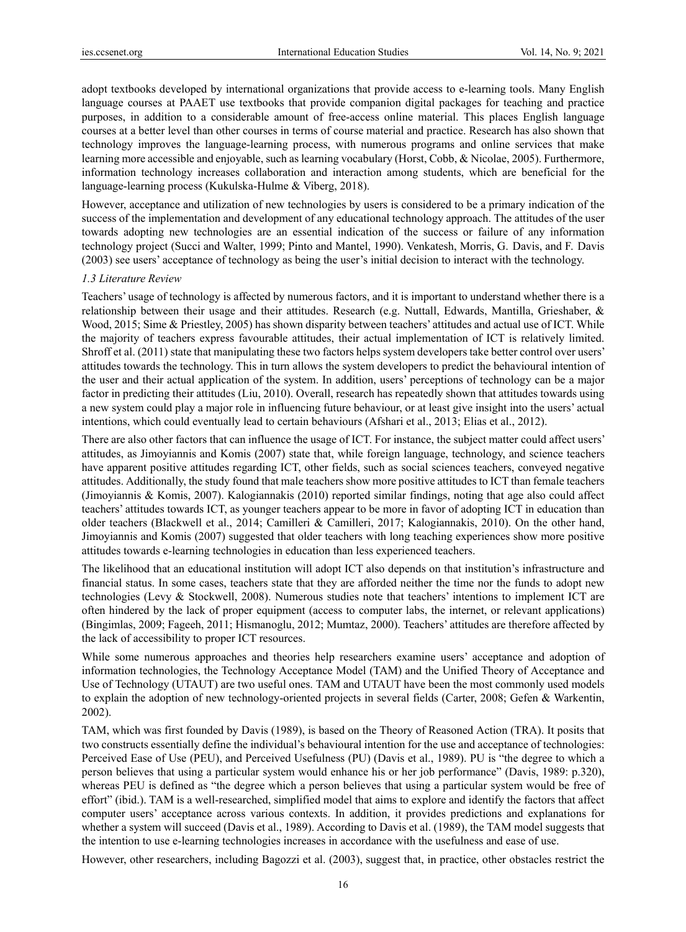adopt textbooks developed by international organizations that provide access to e-learning tools. Many English language courses at PAAET use textbooks that provide companion digital packages for teaching and practice purposes, in addition to a considerable amount of free-access online material. This places English language courses at a better level than other courses in terms of course material and practice. Research has also shown that technology improves the language-learning process, with numerous programs and online services that make learning more accessible and enjoyable, such as learning vocabulary (Horst, Cobb, & Nicolae, 2005). Furthermore, information technology increases collaboration and interaction among students, which are beneficial for the language-learning process (Kukulska-Hulme & Viberg, 2018).

However, acceptance and utilization of new technologies by users is considered to be a primary indication of the success of the implementation and development of any educational technology approach. The attitudes of the user towards adopting new technologies are an essential indication of the success or failure of any information technology project (Succi and Walter, 1999; Pinto and Mantel, 1990). Venkatesh, Morris, G. Davis, and F. Davis (2003) see users' acceptance of technology as being the user's initial decision to interact with the technology.

#### *1.3 Literature Review*

Teachers' usage of technology is affected by numerous factors, and it is important to understand whether there is a relationship between their usage and their attitudes. Research (e.g. Nuttall, Edwards, Mantilla, Grieshaber, & Wood, 2015; Sime & Priestley, 2005) has shown disparity between teachers' attitudes and actual use of ICT. While the majority of teachers express favourable attitudes, their actual implementation of ICT is relatively limited. Shroff et al. (2011) state that manipulating these two factors helps system developers take better control over users' attitudes towards the technology. This in turn allows the system developers to predict the behavioural intention of the user and their actual application of the system. In addition, users' perceptions of technology can be a major factor in predicting their attitudes (Liu, 2010). Overall, research has repeatedly shown that attitudes towards using a new system could play a major role in influencing future behaviour, or at least give insight into the users' actual intentions, which could eventually lead to certain behaviours (Afshari et al., 2013; Elias et al., 2012).

There are also other factors that can influence the usage of ICT. For instance, the subject matter could affect users' attitudes, as Jimoyiannis and Komis (2007) state that, while foreign language, technology, and science teachers have apparent positive attitudes regarding ICT, other fields, such as social sciences teachers, conveyed negative attitudes. Additionally, the study found that male teachers show more positive attitudes to ICT than female teachers (Jimoyiannis & Komis, 2007). Kalogiannakis (2010) reported similar findings, noting that age also could affect teachers' attitudes towards ICT, as younger teachers appear to be more in favor of adopting ICT in education than older teachers (Blackwell et al., 2014; Camilleri & Camilleri, 2017; Kalogiannakis, 2010). On the other hand, Jimoyiannis and Komis (2007) suggested that older teachers with long teaching experiences show more positive attitudes towards e-learning technologies in education than less experienced teachers.

The likelihood that an educational institution will adopt ICT also depends on that institution's infrastructure and financial status. In some cases, teachers state that they are afforded neither the time nor the funds to adopt new technologies (Levy & Stockwell, 2008). Numerous studies note that teachers' intentions to implement ICT are often hindered by the lack of proper equipment (access to computer labs, the internet, or relevant applications) (Bingimlas, 2009; Fageeh, 2011; Hismanoglu, 2012; Mumtaz, 2000). Teachers' attitudes are therefore affected by the lack of accessibility to proper ICT resources.

While some numerous approaches and theories help researchers examine users' acceptance and adoption of information technologies, the Technology Acceptance Model (TAM) and the Unified Theory of Acceptance and Use of Technology (UTAUT) are two useful ones. TAM and UTAUT have been the most commonly used models to explain the adoption of new technology-oriented projects in several fields (Carter, 2008; Gefen & Warkentin, 2002).

TAM, which was first founded by Davis (1989), is based on the Theory of Reasoned Action (TRA). It posits that two constructs essentially define the individual's behavioural intention for the use and acceptance of technologies: Perceived Ease of Use (PEU), and Perceived Usefulness (PU) (Davis et al., 1989). PU is "the degree to which a person believes that using a particular system would enhance his or her job performance" (Davis, 1989: p.320), whereas PEU is defined as "the degree which a person believes that using a particular system would be free of effort" (ibid.). TAM is a well-researched, simplified model that aims to explore and identify the factors that affect computer users' acceptance across various contexts. In addition, it provides predictions and explanations for whether a system will succeed (Davis et al., 1989). According to Davis et al. (1989), the TAM model suggests that the intention to use e-learning technologies increases in accordance with the usefulness and ease of use.

However, other researchers, including Bagozzi et al. (2003), suggest that, in practice, other obstacles restrict the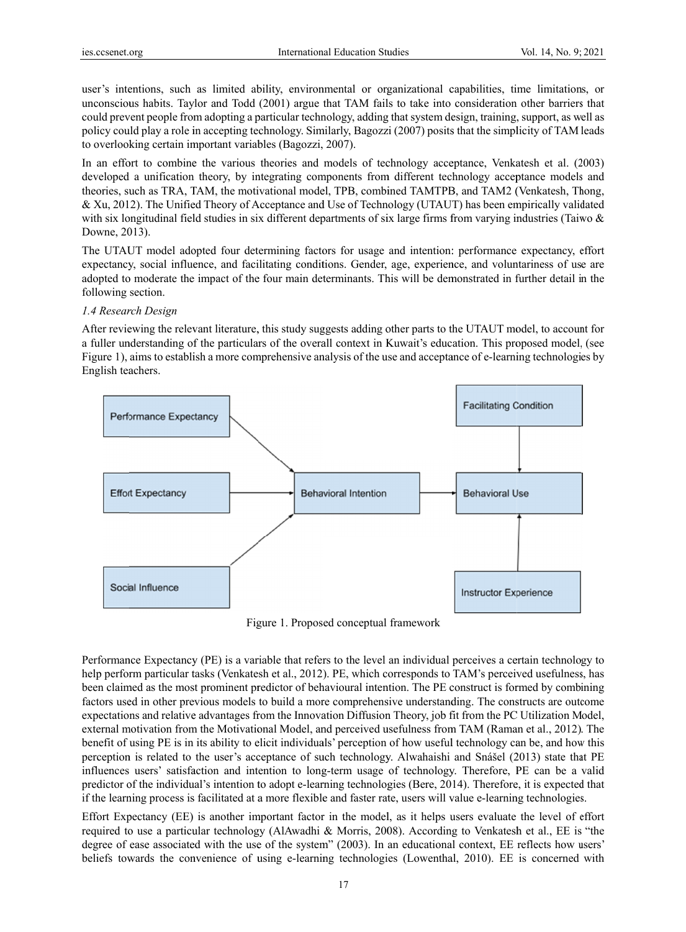user's intentions, such as limited ability, environmental or organizational capabilities, time limitations, or unconscious habits. Taylor and Todd (2001) argue that TAM fails to take into consideration other barriers that could prevent people from adopting a particular technology, adding that system design, training, support, as well as policy could play a role in accepting technology. Similarly, Bagozzi (2007) posits that the simplicity of TAM leads to overlooking certain important variables (Bagozzi, 2007).

In an effort to combine the various theories and models of technology acceptance, Venkatesh et al. (2003) developed a unification theory, by integrating components from different technology acceptance models and theories, such as TRA, TAM, the motivational model, TPB, combined TAMTPB, and TAM2 (Venkatesh, Thong, & Xu, 2012). The Unified Theory of Acceptance and Use of Technology (UTAUT) has been empirically validated with six longitudinal field studies in six different departments of six large firms from varying industries (Taiwo  $\&$ Downe, 2013).

The UTAUT model adopted four determining factors for usage and intention: performance expectancy, effort expectancy, social influence, and facilitating conditions. Gender, age, experience, and voluntariness of use are adopted to moderate the impact of the four main determinants. This will be demonstrated in further detail in the following section.

#### 1.4 Research Design

After reviewing the relevant literature, this study suggests adding other parts to the UTAUT model, to account for a fuller understanding of the particulars of the overall context in Kuwait's education. This proposed model, (see Figure 1), aims to establish a more comprehensive analysis of the use and acceptance of e-learning technologies by English tea achers.



Fig gure 1. Propos ed conceptual framework

Performance Expectancy (PE) is a variable that refers to the level an individual perceives a certain technology to help perform particular tasks (Venkatesh et al., 2012). PE, which corresponds to TAM's perceived usefulness, has been claimed as the most prominent predictor of behavioural intention. The PE construct is formed by combining factors used in other previous models to build a more comprehensive understanding. The constructs are outcome expectations and relative advantages from the Innovation Diffusion Theory, job fit from the PC Utilization Model, external motivation from the Motivational Model, and perceived usefulness from TAM (Raman et al., 2012). The benefit of using PE is in its ability to elicit individuals' perception of how useful technology can be, and how this perception is related to the user's acceptance of such technology. Alwahaishi and Snášel (2013) state that PE influences users' satisfaction and intention to long-term usage of technology. Therefore, PE can be a valid predictor of the individual's intention to adopt e-learning technologies (Bere, 2014). Therefore, it is expected that if the learning process is facilitated at a more flexible and faster rate, users will value e-learning technologies.

Effort Expectancy (EE) is another important factor in the model, as it helps users evaluate the level of effort required to use a particular technology (AlAwadhi & Morris, 2008). According to Venkatesh et al., EE is "the degree of ease associated with the use of the system" (2003). In an educational context, EE reflects how users' beliefs towards the convenience of using e-learning technologies (Lowenthal, 2010). EE is concerned with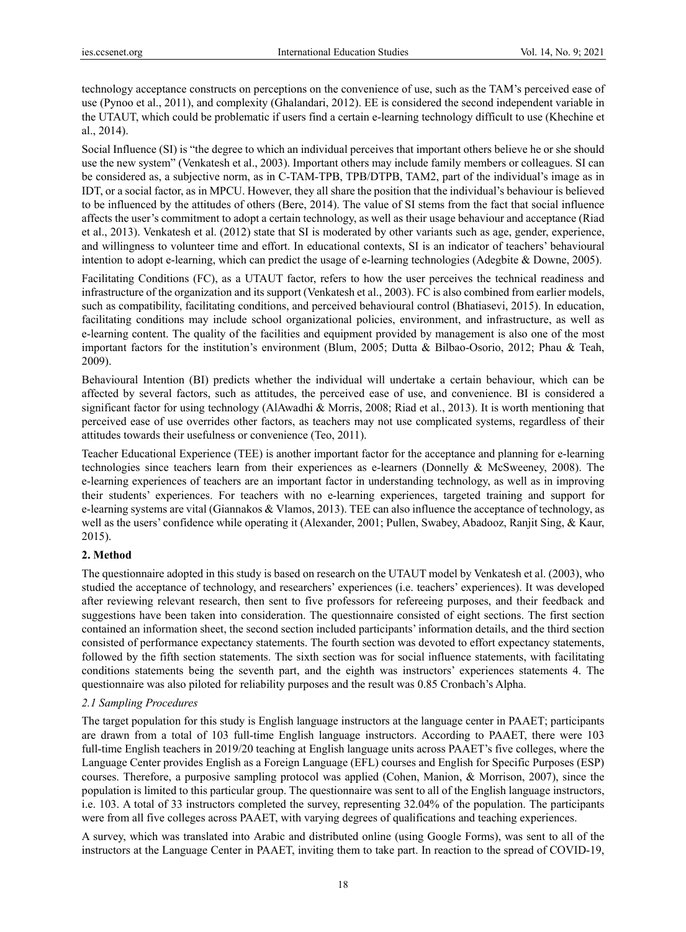technology acceptance constructs on perceptions on the convenience of use, such as the TAM's perceived ease of use (Pynoo et al., 2011), and complexity (Ghalandari, 2012). EE is considered the second independent variable in the UTAUT, which could be problematic if users find a certain e-learning technology difficult to use (Khechine et al., 2014).

Social Influence (SI) is "the degree to which an individual perceives that important others believe he or she should use the new system" (Venkatesh et al., 2003). Important others may include family members or colleagues. SI can be considered as, a subjective norm, as in C-TAM-TPB, TPB/DTPB, TAM2, part of the individual's image as in IDT, or a social factor, as in MPCU. However, they all share the position that the individual's behaviour is believed to be influenced by the attitudes of others (Bere, 2014). The value of SI stems from the fact that social influence affects the user's commitment to adopt a certain technology, as well as their usage behaviour and acceptance (Riad et al., 2013). Venkatesh et al. (2012) state that SI is moderated by other variants such as age, gender, experience, and willingness to volunteer time and effort. In educational contexts, SI is an indicator of teachers' behavioural intention to adopt e-learning, which can predict the usage of e-learning technologies (Adegbite & Downe, 2005).

Facilitating Conditions (FC), as a UTAUT factor, refers to how the user perceives the technical readiness and infrastructure of the organization and its support (Venkatesh et al., 2003). FC is also combined from earlier models, such as compatibility, facilitating conditions, and perceived behavioural control (Bhatiasevi, 2015). In education, facilitating conditions may include school organizational policies, environment, and infrastructure, as well as e-learning content. The quality of the facilities and equipment provided by management is also one of the most important factors for the institution's environment (Blum, 2005; Dutta & Bilbao-Osorio, 2012; Phau & Teah, 2009).

Behavioural Intention (BI) predicts whether the individual will undertake a certain behaviour, which can be affected by several factors, such as attitudes, the perceived ease of use, and convenience. BI is considered a significant factor for using technology (AlAwadhi & Morris, 2008; Riad et al., 2013). It is worth mentioning that perceived ease of use overrides other factors, as teachers may not use complicated systems, regardless of their attitudes towards their usefulness or convenience (Teo, 2011).

Teacher Educational Experience (TEE) is another important factor for the acceptance and planning for e-learning technologies since teachers learn from their experiences as e-learners (Donnelly & McSweeney, 2008). The e-learning experiences of teachers are an important factor in understanding technology, as well as in improving their students' experiences. For teachers with no e-learning experiences, targeted training and support for e-learning systems are vital (Giannakos & Vlamos, 2013). TEE can also influence the acceptance of technology, as well as the users' confidence while operating it (Alexander, 2001; Pullen, Swabey, Abadooz, Ranjit Sing, & Kaur, 2015).

## **2. Method**

The questionnaire adopted in this study is based on research on the UTAUT model by Venkatesh et al. (2003), who studied the acceptance of technology, and researchers' experiences (i.e. teachers' experiences). It was developed after reviewing relevant research, then sent to five professors for refereeing purposes, and their feedback and suggestions have been taken into consideration. The questionnaire consisted of eight sections. The first section contained an information sheet, the second section included participants' information details, and the third section consisted of performance expectancy statements. The fourth section was devoted to effort expectancy statements, followed by the fifth section statements. The sixth section was for social influence statements, with facilitating conditions statements being the seventh part, and the eighth was instructors' experiences statements 4. The questionnaire was also piloted for reliability purposes and the result was 0.85 Cronbach's Alpha.

## *2.1 Sampling Procedures*

The target population for this study is English language instructors at the language center in PAAET; participants are drawn from a total of 103 full-time English language instructors. According to PAAET, there were 103 full-time English teachers in 2019/20 teaching at English language units across PAAET's five colleges, where the Language Center provides English as a Foreign Language (EFL) courses and English for Specific Purposes (ESP) courses. Therefore, a purposive sampling protocol was applied (Cohen, Manion, & Morrison, 2007), since the population is limited to this particular group. The questionnaire was sent to all of the English language instructors, i.e. 103. A total of 33 instructors completed the survey, representing 32.04% of the population. The participants were from all five colleges across PAAET, with varying degrees of qualifications and teaching experiences.

A survey, which was translated into Arabic and distributed online (using Google Forms), was sent to all of the instructors at the Language Center in PAAET, inviting them to take part. In reaction to the spread of COVID-19,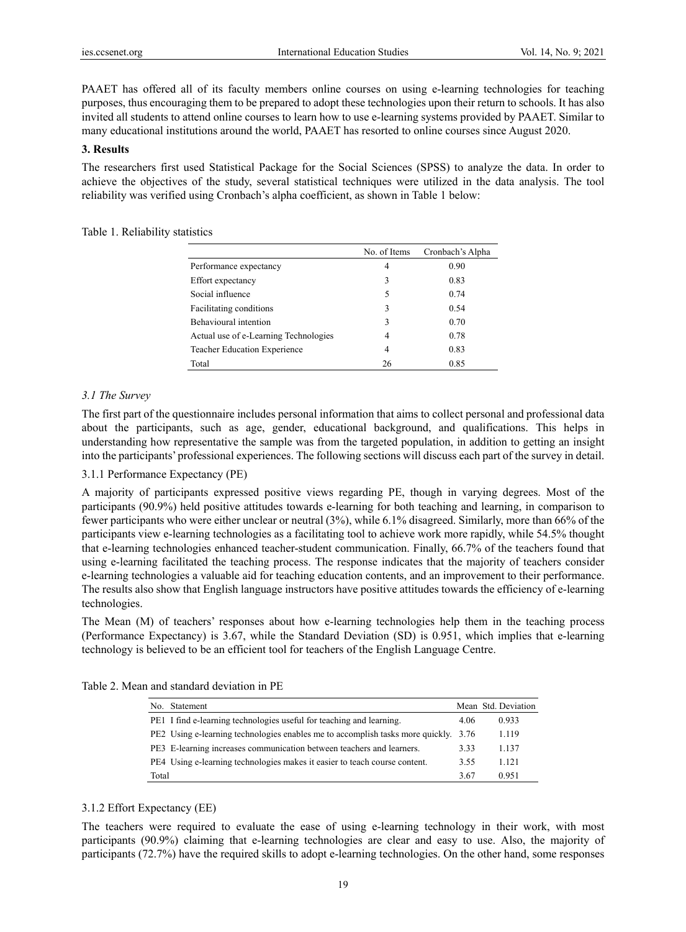PAAET has offered all of its faculty members online courses on using e-learning technologies for teaching purposes, thus encouraging them to be prepared to adopt these technologies upon their return to schools. It has also invited all students to attend online courses to learn how to use e-learning systems provided by PAAET. Similar to many educational institutions around the world, PAAET has resorted to online courses since August 2020.

## **3. Results**

The researchers first used Statistical Package for the Social Sciences (SPSS) to analyze the data. In order to achieve the objectives of the study, several statistical techniques were utilized in the data analysis. The tool reliability was verified using Cronbach's alpha coefficient, as shown in Table 1 below:

### Table 1. Reliability statistics

|                                       | No. of Items | Cronbach's Alpha |
|---------------------------------------|--------------|------------------|
| Performance expectancy                | 4            | 0.90             |
| Effort expectancy                     | 3            | 0.83             |
| Social influence                      | 5            | 0.74             |
| Facilitating conditions               | 3            | 0.54             |
| Behavioural intention                 | 3            | 0.70             |
| Actual use of e-Learning Technologies | 4            | 0.78             |
| <b>Teacher Education Experience</b>   | 4            | 0.83             |
| Total                                 | 26           | 0.85             |

## *3.1 The Survey*

The first part of the questionnaire includes personal information that aims to collect personal and professional data about the participants, such as age, gender, educational background, and qualifications. This helps in understanding how representative the sample was from the targeted population, in addition to getting an insight into the participants' professional experiences. The following sections will discuss each part of the survey in detail.

## 3.1.1 Performance Expectancy (PE)

A majority of participants expressed positive views regarding PE, though in varying degrees. Most of the participants (90.9%) held positive attitudes towards e-learning for both teaching and learning, in comparison to fewer participants who were either unclear or neutral (3%), while 6.1% disagreed. Similarly, more than 66% of the participants view e-learning technologies as a facilitating tool to achieve work more rapidly, while 54.5% thought that e-learning technologies enhanced teacher-student communication. Finally, 66.7% of the teachers found that using e-learning facilitated the teaching process. The response indicates that the majority of teachers consider e-learning technologies a valuable aid for teaching education contents, and an improvement to their performance. The results also show that English language instructors have positive attitudes towards the efficiency of e-learning technologies.

The Mean (M) of teachers' responses about how e-learning technologies help them in the teaching process (Performance Expectancy) is 3.67, while the Standard Deviation (SD) is 0.951, which implies that e-learning technology is believed to be an efficient tool for teachers of the English Language Centre.

| No. Statement                                                                       |      | Mean Std. Deviation |
|-------------------------------------------------------------------------------------|------|---------------------|
| PE1 I find e-learning technologies useful for teaching and learning.                | 4.06 | 0.933               |
| PE2 Using e-learning technologies enables me to accomplish tasks more quickly. 3.76 |      | 1.119               |
| PE3 E-learning increases communication between teachers and learners.               | 3.33 | 1.137               |
| PE4 Using e-learning technologies makes it easier to teach course content.          | 3.55 | 1.121               |
| Total                                                                               | 3.67 | 0.951               |

### Table 2. Mean and standard deviation in PE

#### 3.1.2 Effort Expectancy (EE)

The teachers were required to evaluate the ease of using e-learning technology in their work, with most participants (90.9%) claiming that e-learning technologies are clear and easy to use. Also, the majority of participants (72.7%) have the required skills to adopt e-learning technologies. On the other hand, some responses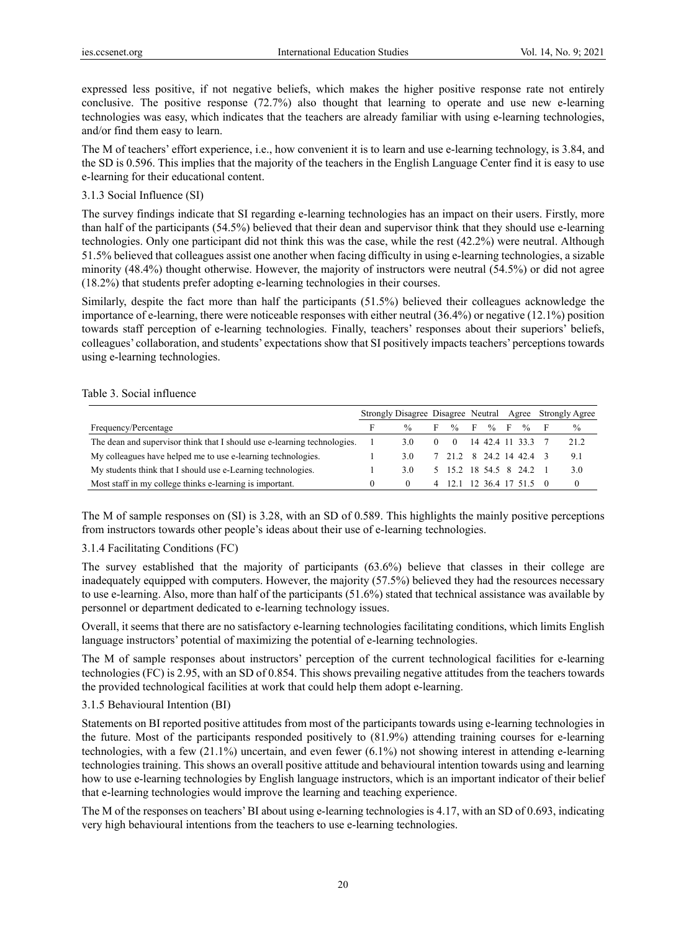expressed less positive, if not negative beliefs, which makes the higher positive response rate not entirely conclusive. The positive response (72.7%) also thought that learning to operate and use new e-learning technologies was easy, which indicates that the teachers are already familiar with using e-learning technologies, and/or find them easy to learn.

The M of teachers' effort experience, i.e., how convenient it is to learn and use e-learning technology, is 3.84, and the SD is 0.596. This implies that the majority of the teachers in the English Language Center find it is easy to use e-learning for their educational content.

## 3.1.3 Social Influence (SI)

The survey findings indicate that SI regarding e-learning technologies has an impact on their users. Firstly, more than half of the participants (54.5%) believed that their dean and supervisor think that they should use e-learning technologies. Only one participant did not think this was the case, while the rest (42.2%) were neutral. Although 51.5% believed that colleagues assist one another when facing difficulty in using e-learning technologies, a sizable minority (48.4%) thought otherwise. However, the majority of instructors were neutral (54.5%) or did not agree (18.2%) that students prefer adopting e-learning technologies in their courses.

Similarly, despite the fact more than half the participants (51.5%) believed their colleagues acknowledge the importance of e-learning, there were noticeable responses with either neutral (36.4%) or negative (12.1%) position towards staff perception of e-learning technologies. Finally, teachers' responses about their superiors' beliefs, colleagues' collaboration, and students' expectations show that SI positively impacts teachers' perceptions towards using e-learning technologies.

#### Table 3. Social influence

|                                                                          | Strongly Disagree Disagree Neutral Agree Strongly Agree |               |  |                          |  |        |  |        |  |               |
|--------------------------------------------------------------------------|---------------------------------------------------------|---------------|--|--------------------------|--|--------|--|--------|--|---------------|
| Frequency/Percentage                                                     |                                                         | $\frac{0}{0}$ |  | $F \quad \% \quad F$     |  | $\%$ F |  | $\%$ F |  | $\frac{0}{0}$ |
| The dean and supervisor think that I should use e-learning technologies. |                                                         | 3.0           |  | 0 14 42.4 11 33.3        |  |        |  |        |  | 21.2          |
| My colleagues have helped me to use e-learning technologies.             |                                                         | 3 O           |  | 7 21.2 8 24.2 14 42.4 3  |  |        |  |        |  | 9.1           |
| My students think that I should use e-Learning technologies.             |                                                         | 3.0           |  | 5 15.2 18 54.5 8 24.2 1  |  |        |  |        |  | 3.0           |
| Most staff in my college thinks e-learning is important.                 |                                                         |               |  | 4 12.1 12 36.4 17 51.5 0 |  |        |  |        |  |               |

The M of sample responses on (SI) is 3.28, with an SD of 0.589. This highlights the mainly positive perceptions from instructors towards other people's ideas about their use of e-learning technologies.

## 3.1.4 Facilitating Conditions (FC)

The survey established that the majority of participants (63.6%) believe that classes in their college are inadequately equipped with computers. However, the majority (57.5%) believed they had the resources necessary to use e-learning. Also, more than half of the participants (51.6%) stated that technical assistance was available by personnel or department dedicated to e-learning technology issues.

Overall, it seems that there are no satisfactory e-learning technologies facilitating conditions, which limits English language instructors' potential of maximizing the potential of e-learning technologies.

The M of sample responses about instructors' perception of the current technological facilities for e-learning technologies (FC) is 2.95, with an SD of 0.854. This shows prevailing negative attitudes from the teachers towards the provided technological facilities at work that could help them adopt e-learning.

## 3.1.5 Behavioural Intention (BI)

Statements on BI reported positive attitudes from most of the participants towards using e-learning technologies in the future. Most of the participants responded positively to (81.9%) attending training courses for e-learning technologies, with a few (21.1%) uncertain, and even fewer (6.1%) not showing interest in attending e-learning technologies training. This shows an overall positive attitude and behavioural intention towards using and learning how to use e-learning technologies by English language instructors, which is an important indicator of their belief that e-learning technologies would improve the learning and teaching experience.

The M of the responses on teachers' BI about using e-learning technologies is 4.17, with an SD of 0.693, indicating very high behavioural intentions from the teachers to use e-learning technologies.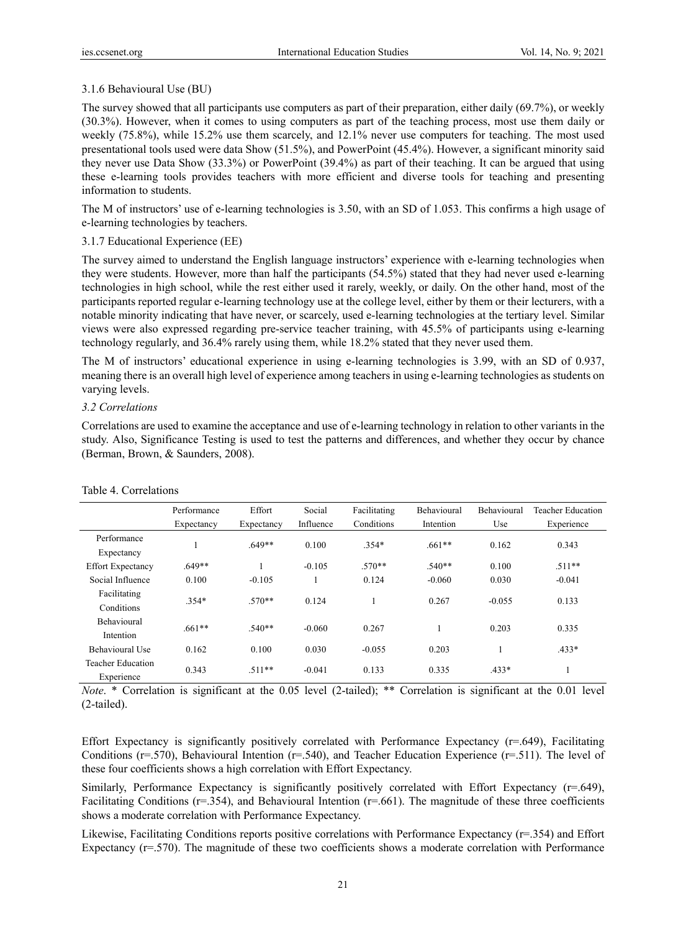## 3.1.6 Behavioural Use (BU)

The survey showed that all participants use computers as part of their preparation, either daily (69.7%), or weekly (30.3%). However, when it comes to using computers as part of the teaching process, most use them daily or weekly (75.8%), while 15.2% use them scarcely, and 12.1% never use computers for teaching. The most used presentational tools used were data Show (51.5%), and PowerPoint (45.4%). However, a significant minority said they never use Data Show (33.3%) or PowerPoint (39.4%) as part of their teaching. It can be argued that using these e-learning tools provides teachers with more efficient and diverse tools for teaching and presenting information to students.

The M of instructors' use of e-learning technologies is 3.50, with an SD of 1.053. This confirms a high usage of e-learning technologies by teachers.

## 3.1.7 Educational Experience (EE)

The survey aimed to understand the English language instructors' experience with e-learning technologies when they were students. However, more than half the participants (54.5%) stated that they had never used e-learning technologies in high school, while the rest either used it rarely, weekly, or daily. On the other hand, most of the participants reported regular e-learning technology use at the college level, either by them or their lecturers, with a notable minority indicating that have never, or scarcely, used e-learning technologies at the tertiary level. Similar views were also expressed regarding pre-service teacher training, with 45.5% of participants using e-learning technology regularly, and 36.4% rarely using them, while 18.2% stated that they never used them.

The M of instructors' educational experience in using e-learning technologies is 3.99, with an SD of 0.937, meaning there is an overall high level of experience among teachers in using e-learning technologies as students on varying levels.

## *3.2 Correlations*

Correlations are used to examine the acceptance and use of e-learning technology in relation to other variants in the study. Also, Significance Testing is used to test the patterns and differences, and whether they occur by chance (Berman, Brown, & Saunders, 2008).

|                          | Performance | Effort     | Social    | Facilitating | Behavioural | <b>Behavioural</b> | <b>Teacher Education</b> |  |
|--------------------------|-------------|------------|-----------|--------------|-------------|--------------------|--------------------------|--|
|                          | Expectancy  | Expectancy | Influence | Conditions   | Intention   | Use                | Experience               |  |
| Performance              |             |            |           |              |             |                    |                          |  |
| Expectancy               |             | $.649**$   | 0.100     | $.354*$      | $.661**$    | 0.162              | 0.343                    |  |
| <b>Effort Expectancy</b> | $.649**$    |            | $-0.105$  | $.570**$     | $.540**$    | 0.100              | $.511**$                 |  |
| Social Influence         | 0.100       | $-0.105$   |           | 0.124        | $-0.060$    | 0.030              | $-0.041$                 |  |
| Facilitating             |             |            | 0.124     |              |             |                    |                          |  |
| Conditions               | $.354*$     | $.570**$   |           |              | 0.267       | $-0.055$           | 0.133                    |  |
| <b>Behavioural</b>       |             |            |           |              |             |                    |                          |  |
| Intention                | $.661**$    | $.540**$   | $-0.060$  | 0.267        |             | 0.203              | 0.335                    |  |
| Behavioural Use          | 0.162       | 0.100      | 0.030     | $-0.055$     | 0.203       |                    | $.433*$                  |  |
| <b>Teacher Education</b> |             |            |           |              |             |                    |                          |  |
| Experience               | 0.343       | $.511**$   | $-0.041$  | 0.133        | 0.335       | $.433*$            |                          |  |

## Table 4. Correlations

*Note*. \* Correlation is significant at the 0.05 level (2-tailed); \*\* Correlation is significant at the 0.01 level (2-tailed).

Effort Expectancy is significantly positively correlated with Performance Expectancy (r=.649), Facilitating Conditions (r=.570), Behavioural Intention (r=.540), and Teacher Education Experience (r=.511). The level of these four coefficients shows a high correlation with Effort Expectancy.

Similarly, Performance Expectancy is significantly positively correlated with Effort Expectancy (r=.649), Facilitating Conditions ( $r=0.354$ ), and Behavioural Intention ( $r=0.661$ ). The magnitude of these three coefficients shows a moderate correlation with Performance Expectancy.

Likewise, Facilitating Conditions reports positive correlations with Performance Expectancy (r=.354) and Effort Expectancy (r=.570). The magnitude of these two coefficients shows a moderate correlation with Performance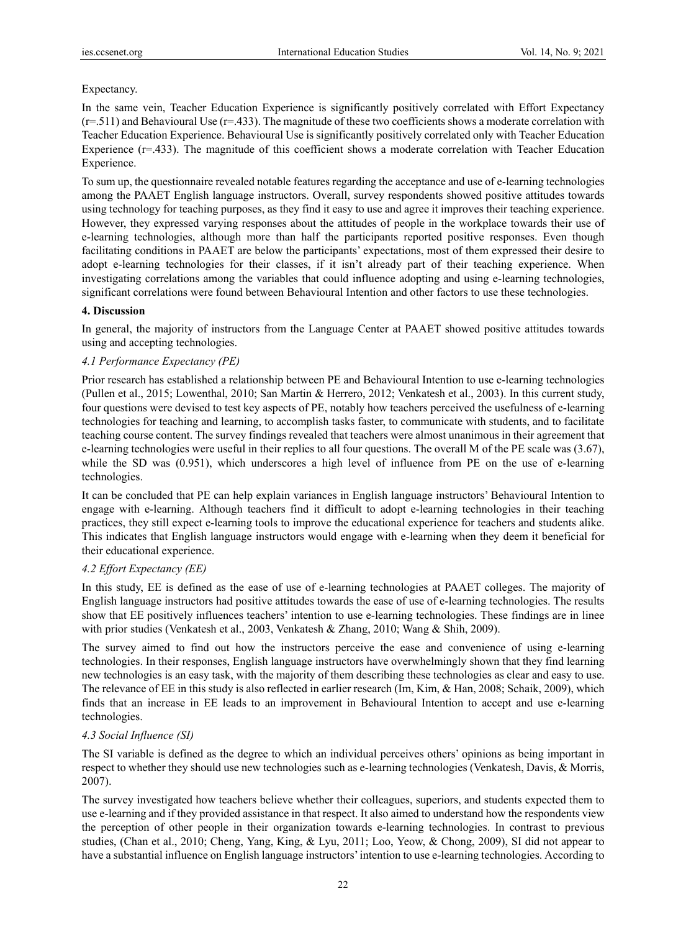# Expectancy.

In the same vein, Teacher Education Experience is significantly positively correlated with Effort Expectancy  $(r=511)$  and Behavioural Use  $(r=433)$ . The magnitude of these two coefficients shows a moderate correlation with Teacher Education Experience. Behavioural Use is significantly positively correlated only with Teacher Education Experience (r=.433). The magnitude of this coefficient shows a moderate correlation with Teacher Education Experience.

To sum up, the questionnaire revealed notable features regarding the acceptance and use of e-learning technologies among the PAAET English language instructors. Overall, survey respondents showed positive attitudes towards using technology for teaching purposes, as they find it easy to use and agree it improves their teaching experience. However, they expressed varying responses about the attitudes of people in the workplace towards their use of e-learning technologies, although more than half the participants reported positive responses. Even though facilitating conditions in PAAET are below the participants' expectations, most of them expressed their desire to adopt e-learning technologies for their classes, if it isn't already part of their teaching experience. When investigating correlations among the variables that could influence adopting and using e-learning technologies, significant correlations were found between Behavioural Intention and other factors to use these technologies.

# **4. Discussion**

In general, the majority of instructors from the Language Center at PAAET showed positive attitudes towards using and accepting technologies.

# *4.1 Performance Expectancy (PE)*

Prior research has established a relationship between PE and Behavioural Intention to use e-learning technologies (Pullen et al., 2015; Lowenthal, 2010; San Martin & Herrero, 2012; Venkatesh et al., 2003). In this current study, four questions were devised to test key aspects of PE, notably how teachers perceived the usefulness of e-learning technologies for teaching and learning, to accomplish tasks faster, to communicate with students, and to facilitate teaching course content. The survey findings revealed that teachers were almost unanimous in their agreement that e-learning technologies were useful in their replies to all four questions. The overall M of the PE scale was (3.67), while the SD was (0.951), which underscores a high level of influence from PE on the use of e-learning technologies.

It can be concluded that PE can help explain variances in English language instructors' Behavioural Intention to engage with e-learning. Although teachers find it difficult to adopt e-learning technologies in their teaching practices, they still expect e-learning tools to improve the educational experience for teachers and students alike. This indicates that English language instructors would engage with e-learning when they deem it beneficial for their educational experience.

# *4.2 Effort Expectancy (EE)*

In this study, EE is defined as the ease of use of e-learning technologies at PAAET colleges. The majority of English language instructors had positive attitudes towards the ease of use of e-learning technologies. The results show that EE positively influences teachers' intention to use e-learning technologies. These findings are in linee with prior studies (Venkatesh et al., 2003, Venkatesh & Zhang, 2010; Wang & Shih, 2009).

The survey aimed to find out how the instructors perceive the ease and convenience of using e-learning technologies. In their responses, English language instructors have overwhelmingly shown that they find learning new technologies is an easy task, with the majority of them describing these technologies as clear and easy to use. The relevance of EE in this study is also reflected in earlier research (Im, Kim, & Han, 2008; Schaik, 2009), which finds that an increase in EE leads to an improvement in Behavioural Intention to accept and use e-learning technologies.

## *4.3 Social Influence (SI)*

The SI variable is defined as the degree to which an individual perceives others' opinions as being important in respect to whether they should use new technologies such as e-learning technologies (Venkatesh, Davis, & Morris, 2007).

The survey investigated how teachers believe whether their colleagues, superiors, and students expected them to use e-learning and if they provided assistance in that respect. It also aimed to understand how the respondents view the perception of other people in their organization towards e-learning technologies. In contrast to previous studies, (Chan et al., 2010; Cheng, Yang, King, & Lyu, 2011; Loo, Yeow, & Chong, 2009), SI did not appear to have a substantial influence on English language instructors' intention to use e-learning technologies. According to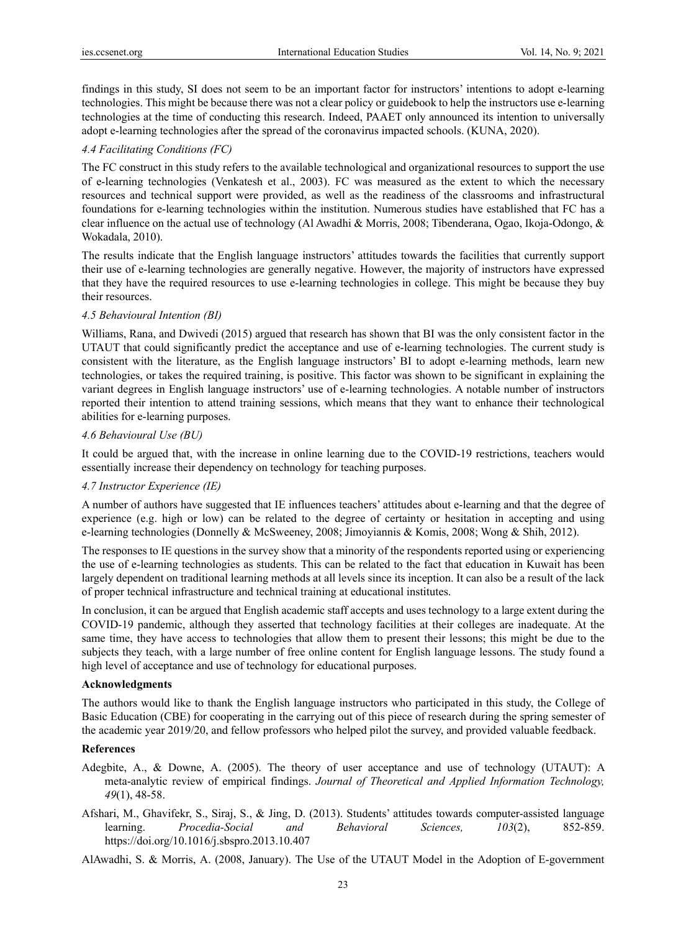findings in this study, SI does not seem to be an important factor for instructors' intentions to adopt e-learning technologies. This might be because there was not a clear policy or guidebook to help the instructors use e-learning technologies at the time of conducting this research. Indeed, PAAET only announced its intention to universally adopt e-learning technologies after the spread of the coronavirus impacted schools. (KUNA, 2020).

## *4.4 Facilitating Conditions (FC)*

The FC construct in this study refers to the available technological and organizational resources to support the use of e-learning technologies (Venkatesh et al., 2003). FC was measured as the extent to which the necessary resources and technical support were provided, as well as the readiness of the classrooms and infrastructural foundations for e-learning technologies within the institution. Numerous studies have established that FC has a clear influence on the actual use of technology (Al Awadhi & Morris, 2008; Tibenderana, Ogao, Ikoja-Odongo, & Wokadala, 2010).

The results indicate that the English language instructors' attitudes towards the facilities that currently support their use of e-learning technologies are generally negative. However, the majority of instructors have expressed that they have the required resources to use e-learning technologies in college. This might be because they buy their resources.

### *4.5 Behavioural Intention (BI)*

Williams, Rana, and Dwivedi (2015) argued that research has shown that BI was the only consistent factor in the UTAUT that could significantly predict the acceptance and use of e-learning technologies. The current study is consistent with the literature, as the English language instructors' BI to adopt e-learning methods, learn new technologies, or takes the required training, is positive. This factor was shown to be significant in explaining the variant degrees in English language instructors' use of e-learning technologies. A notable number of instructors reported their intention to attend training sessions, which means that they want to enhance their technological abilities for e-learning purposes.

## *4.6 Behavioural Use (BU)*

It could be argued that, with the increase in online learning due to the COVID-19 restrictions, teachers would essentially increase their dependency on technology for teaching purposes.

#### *4.7 Instructor Experience (IE)*

A number of authors have suggested that IE influences teachers' attitudes about e-learning and that the degree of experience (e.g. high or low) can be related to the degree of certainty or hesitation in accepting and using e-learning technologies (Donnelly & McSweeney, 2008; Jimoyiannis & Komis, 2008; Wong & Shih, 2012).

The responses to IE questions in the survey show that a minority of the respondents reported using or experiencing the use of e-learning technologies as students. This can be related to the fact that education in Kuwait has been largely dependent on traditional learning methods at all levels since its inception. It can also be a result of the lack of proper technical infrastructure and technical training at educational institutes.

In conclusion, it can be argued that English academic staff accepts and uses technology to a large extent during the COVID-19 pandemic, although they asserted that technology facilities at their colleges are inadequate. At the same time, they have access to technologies that allow them to present their lessons; this might be due to the subjects they teach, with a large number of free online content for English language lessons. The study found a high level of acceptance and use of technology for educational purposes.

#### **Acknowledgments**

The authors would like to thank the English language instructors who participated in this study, the College of Basic Education (CBE) for cooperating in the carrying out of this piece of research during the spring semester of the academic year 2019/20, and fellow professors who helped pilot the survey, and provided valuable feedback.

## **References**

- Adegbite, A., & Downe, A. (2005). The theory of user acceptance and use of technology (UTAUT): A meta-analytic review of empirical findings. *Journal of Theoretical and Applied Information Technology, 49*(1), 48-58.
- Afshari, M., Ghavifekr, S., Siraj, S., & Jing, D. (2013). Students' attitudes towards computer-assisted language learning. *Procedia-Social and Behavioral Sciences, 103*(2), 852-859. https://doi.org/10.1016/j.sbspro.2013.10.407

AlAwadhi, S. & Morris, A. (2008, January). The Use of the UTAUT Model in the Adoption of E-government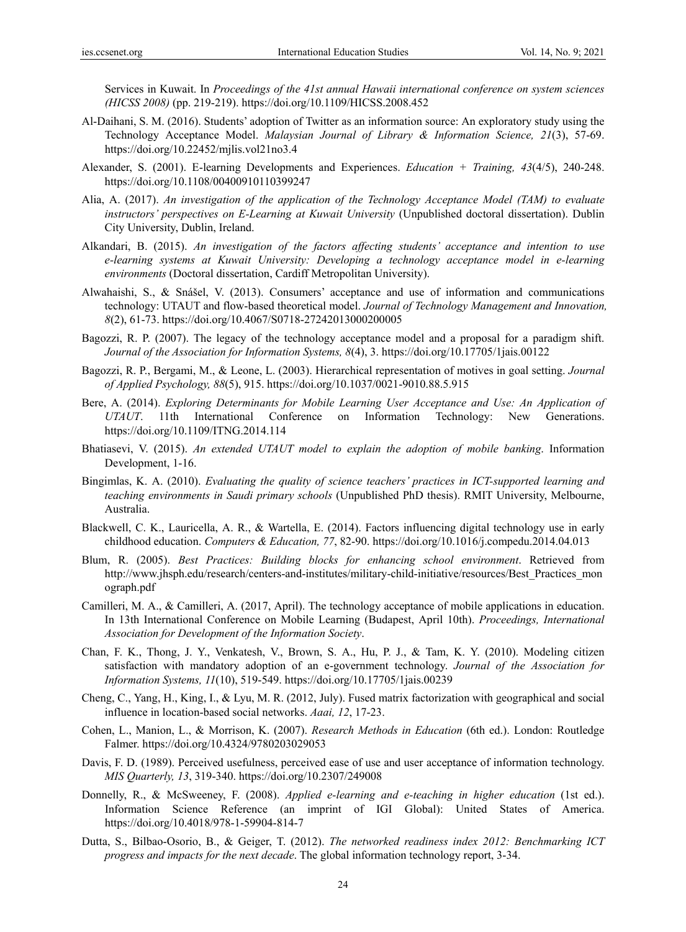Services in Kuwait. In *Proceedings of the 41st annual Hawaii international conference on system sciences (HICSS 2008)* (pp. 219-219). https://doi.org/10.1109/HICSS.2008.452

- Al-Daihani, S. M. (2016). Students' adoption of Twitter as an information source: An exploratory study using the Technology Acceptance Model. *Malaysian Journal of Library & Information Science, 21*(3), 57-69. https://doi.org/10.22452/mjlis.vol21no3.4
- Alexander, S. (2001). E-learning Developments and Experiences. *Education + Training, 43*(4/5), 240-248. https://doi.org/10.1108/00400910110399247
- Alia, A. (2017). *An investigation of the application of the Technology Acceptance Model (TAM) to evaluate instructors' perspectives on E-Learning at Kuwait University* (Unpublished doctoral dissertation). Dublin City University, Dublin, Ireland.
- Alkandari, B. (2015). *An investigation of the factors affecting students' acceptance and intention to use e-learning systems at Kuwait University: Developing a technology acceptance model in e-learning environments* (Doctoral dissertation, Cardiff Metropolitan University).
- Alwahaishi, S., & Snášel, V. (2013). Consumers' acceptance and use of information and communications technology: UTAUT and flow-based theoretical model. *Journal of Technology Management and Innovation, 8*(2), 61-73. https://doi.org/10.4067/S0718-27242013000200005
- Bagozzi, R. P. (2007). The legacy of the technology acceptance model and a proposal for a paradigm shift. *Journal of the Association for Information Systems, 8*(4), 3. https://doi.org/10.17705/1jais.00122
- Bagozzi, R. P., Bergami, M., & Leone, L. (2003). Hierarchical representation of motives in goal setting. *Journal of Applied Psychology, 88*(5), 915. https://doi.org/10.1037/0021-9010.88.5.915
- Bere, A. (2014). *Exploring Determinants for Mobile Learning User Acceptance and Use: An Application of UTAUT*. 11th International Conference on Information Technology: New Generations. https://doi.org/10.1109/ITNG.2014.114
- Bhatiasevi, V. (2015). *An extended UTAUT model to explain the adoption of mobile banking*. Information Development, 1-16.
- Bingimlas, K. A. (2010). *Evaluating the quality of science teachers' practices in ICT-supported learning and teaching environments in Saudi primary schools* (Unpublished PhD thesis). RMIT University, Melbourne, Australia.
- Blackwell, C. K., Lauricella, A. R., & Wartella, E. (2014). Factors influencing digital technology use in early childhood education. *Computers & Education, 77*, 82-90. https://doi.org/10.1016/j.compedu.2014.04.013
- Blum, R. (2005). *Best Practices: Building blocks for enhancing school environment*. Retrieved from http://www.jhsph.edu/research/centers-and-institutes/military-child-initiative/resources/Best\_Practices\_mon ograph.pdf
- Camilleri, M. A., & Camilleri, A. (2017, April). The technology acceptance of mobile applications in education. In 13th International Conference on Mobile Learning (Budapest, April 10th). *Proceedings, International Association for Development of the Information Society*.
- Chan, F. K., Thong, J. Y., Venkatesh, V., Brown, S. A., Hu, P. J., & Tam, K. Y. (2010). Modeling citizen satisfaction with mandatory adoption of an e-government technology. *Journal of the Association for Information Systems, 11*(10), 519-549. https://doi.org/10.17705/1jais.00239
- Cheng, C., Yang, H., King, I., & Lyu, M. R. (2012, July). Fused matrix factorization with geographical and social influence in location-based social networks. *Aaai, 12*, 17-23.
- Cohen, L., Manion, L., & Morrison, K. (2007). *Research Methods in Education* (6th ed.). London: Routledge Falmer. https://doi.org/10.4324/9780203029053
- Davis, F. D. (1989). Perceived usefulness, perceived ease of use and user acceptance of information technology. *MIS Quarterly, 13*, 319-340. https://doi.org/10.2307/249008
- Donnelly, R., & McSweeney, F. (2008). *Applied e-learning and e-teaching in higher education* (1st ed.). Information Science Reference (an imprint of IGI Global): United States of America. https://doi.org/10.4018/978-1-59904-814-7
- Dutta, S., Bilbao-Osorio, B., & Geiger, T. (2012). *The networked readiness index 2012: Benchmarking ICT progress and impacts for the next decade*. The global information technology report, 3-34.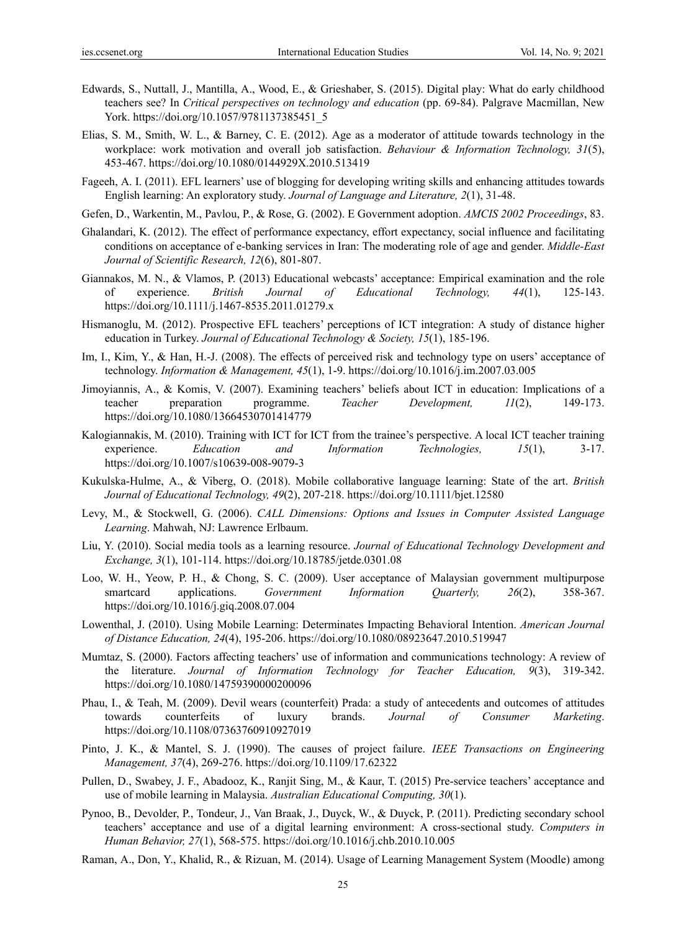- Edwards, S., Nuttall, J., Mantilla, A., Wood, E., & Grieshaber, S. (2015). Digital play: What do early childhood teachers see? In *Critical perspectives on technology and education* (pp. 69-84). Palgrave Macmillan, New York. https://doi.org/10.1057/9781137385451\_5
- Elias, S. M., Smith, W. L., & Barney, C. E. (2012). Age as a moderator of attitude towards technology in the workplace: work motivation and overall job satisfaction. *Behaviour & Information Technology, 31*(5), 453-467. https://doi.org/10.1080/0144929X.2010.513419
- Fageeh, A. I. (2011). EFL learners' use of blogging for developing writing skills and enhancing attitudes towards English learning: An exploratory study. *Journal of Language and Literature, 2*(1), 31-48.
- Gefen, D., Warkentin, M., Pavlou, P., & Rose, G. (2002). E Government adoption. *AMCIS 2002 Proceedings*, 83.
- Ghalandari, K. (2012). The effect of performance expectancy, effort expectancy, social influence and facilitating conditions on acceptance of e-banking services in Iran: The moderating role of age and gender. *Middle-East Journal of Scientific Research, 12*(6), 801-807.
- Giannakos, M. N., & Vlamos, P. (2013) Educational webcasts' acceptance: Empirical examination and the role of experience. *British Journal of Educational Technology, 44*(1), 125-143. https://doi.org/10.1111/j.1467-8535.2011.01279.x
- Hismanoglu, M. (2012). Prospective EFL teachers' perceptions of ICT integration: A study of distance higher education in Turkey. *Journal of Educational Technology & Society, 15*(1), 185-196.
- Im, I., Kim, Y., & Han, H.-J. (2008). The effects of perceived risk and technology type on users' acceptance of technology. *Information & Management, 45*(1), 1-9. https://doi.org/10.1016/j.im.2007.03.005
- Jimoyiannis, A., & Komis, V. (2007). Examining teachers' beliefs about ICT in education: Implications of a teacher preparation programme. *Teacher Development, 11*(2), 149-173. https://doi.org/10.1080/13664530701414779
- Kalogiannakis, M. (2010). Training with ICT for ICT from the trainee's perspective. A local ICT teacher training experience. *Education and Information Technologies, 15*(1), 3-17. https://doi.org/10.1007/s10639-008-9079-3
- Kukulska-Hulme, A., & Viberg, O. (2018). Mobile collaborative language learning: State of the art. *British Journal of Educational Technology, 49*(2), 207-218. https://doi.org/10.1111/bjet.12580
- Levy, M., & Stockwell, G. (2006). *CALL Dimensions: Options and Issues in Computer Assisted Language Learning*. Mahwah, NJ: Lawrence Erlbaum.
- Liu, Y. (2010). Social media tools as a learning resource. *Journal of Educational Technology Development and Exchange, 3*(1), 101-114. https://doi.org/10.18785/jetde.0301.08
- Loo, W. H., Yeow, P. H., & Chong, S. C. (2009). User acceptance of Malaysian government multipurpose smartcard applications. *Government Information Quarterly, 26*(2), 358-367. https://doi.org/10.1016/j.giq.2008.07.004
- Lowenthal, J. (2010). Using Mobile Learning: Determinates Impacting Behavioral Intention. *American Journal of Distance Education, 24*(4), 195-206. https://doi.org/10.1080/08923647.2010.519947
- Mumtaz, S. (2000). Factors affecting teachers' use of information and communications technology: A review of the literature. *Journal of Information Technology for Teacher Education, 9*(3), 319-342. https://doi.org/10.1080/14759390000200096
- Phau, I., & Teah, M. (2009). Devil wears (counterfeit) Prada: a study of antecedents and outcomes of attitudes towards counterfeits of luxury brands. *Journal of Consumer Marketing*. https://doi.org/10.1108/07363760910927019
- Pinto, J. K., & Mantel, S. J. (1990). The causes of project failure. *IEEE Transactions on Engineering Management, 37*(4), 269-276. https://doi.org/10.1109/17.62322
- Pullen, D., Swabey, J. F., Abadooz, K., Ranjit Sing, M., & Kaur, T. (2015) Pre-service teachers' acceptance and use of mobile learning in Malaysia. *Australian Educational Computing, 30*(1).
- Pynoo, B., Devolder, P., Tondeur, J., Van Braak, J., Duyck, W., & Duyck, P. (2011). Predicting secondary school teachers' acceptance and use of a digital learning environment: A cross-sectional study. *Computers in Human Behavior, 27*(1), 568-575. https://doi.org/10.1016/j.chb.2010.10.005
- Raman, A., Don, Y., Khalid, R., & Rizuan, M. (2014). Usage of Learning Management System (Moodle) among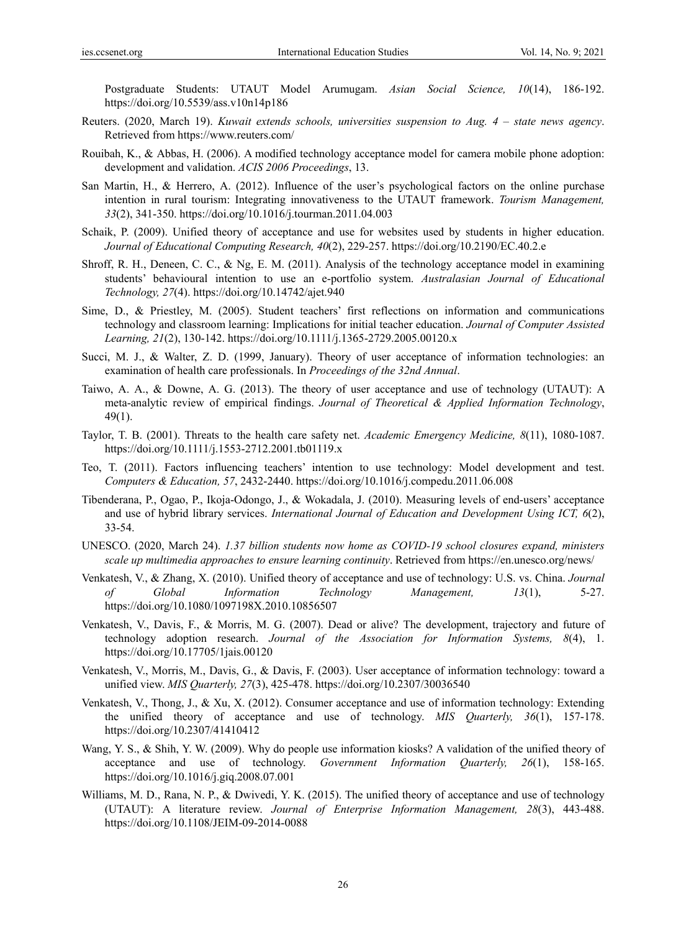Postgraduate Students: UTAUT Model Arumugam. *Asian Social Science, 10*(14), 186-192. https://doi.org/10.5539/ass.v10n14p186

- Reuters. (2020, March 19). *Kuwait extends schools, universities suspension to Aug. 4 state news agency*. Retrieved from https://www.reuters.com/
- Rouibah, K., & Abbas, H. (2006). A modified technology acceptance model for camera mobile phone adoption: development and validation. *ACIS 2006 Proceedings*, 13.
- San Martin, H., & Herrero, A. (2012). Influence of the user's psychological factors on the online purchase intention in rural tourism: Integrating innovativeness to the UTAUT framework. *Tourism Management, 33*(2), 341-350. https://doi.org/10.1016/j.tourman.2011.04.003
- Schaik, P. (2009). Unified theory of acceptance and use for websites used by students in higher education. *Journal of Educational Computing Research, 40*(2), 229-257. https://doi.org/10.2190/EC.40.2.e
- Shroff, R. H., Deneen, C. C., & Ng, E. M. (2011). Analysis of the technology acceptance model in examining students' behavioural intention to use an e-portfolio system. *Australasian Journal of Educational Technology, 27*(4). https://doi.org/10.14742/ajet.940
- Sime, D., & Priestley, M. (2005). Student teachers' first reflections on information and communications technology and classroom learning: Implications for initial teacher education. *Journal of Computer Assisted Learning, 21*(2), 130-142. https://doi.org/10.1111/j.1365-2729.2005.00120.x
- Succi, M. J., & Walter, Z. D. (1999, January). Theory of user acceptance of information technologies: an examination of health care professionals. In *Proceedings of the 32nd Annual*.
- Taiwo, A. A., & Downe, A. G. (2013). The theory of user acceptance and use of technology (UTAUT): A meta-analytic review of empirical findings. *Journal of Theoretical & Applied Information Technology*, 49(1).
- Taylor, T. B. (2001). Threats to the health care safety net. *Academic Emergency Medicine, 8*(11), 1080-1087. https://doi.org/10.1111/j.1553-2712.2001.tb01119.x
- Teo, T. (2011). Factors influencing teachers' intention to use technology: Model development and test. *Computers & Education, 57*, 2432-2440. https://doi.org/10.1016/j.compedu.2011.06.008
- Tibenderana, P., Ogao, P., Ikoja-Odongo, J., & Wokadala, J. (2010). Measuring levels of end-users' acceptance and use of hybrid library services. *International Journal of Education and Development Using ICT, 6*(2), 33-54.
- UNESCO. (2020, March 24). *1.37 billion students now home as COVID-19 school closures expand, ministers scale up multimedia approaches to ensure learning continuity*. Retrieved from https://en.unesco.org/news/
- Venkatesh, V., & Zhang, X. (2010). Unified theory of acceptance and use of technology: U.S. vs. China. *Journal of Global Information Technology Management, 13*(1), 5-27. https://doi.org/10.1080/1097198X.2010.10856507
- Venkatesh, V., Davis, F., & Morris, M. G. (2007). Dead or alive? The development, trajectory and future of technology adoption research. *Journal of the Association for Information Systems, 8*(4), 1. https://doi.org/10.17705/1jais.00120
- Venkatesh, V., Morris, M., Davis, G., & Davis, F. (2003). User acceptance of information technology: toward a unified view. *MIS Quarterly, 27*(3), 425-478. https://doi.org/10.2307/30036540
- Venkatesh, V., Thong, J., & Xu, X. (2012). Consumer acceptance and use of information technology: Extending the unified theory of acceptance and use of technology. *MIS Quarterly, 36*(1), 157-178. https://doi.org/10.2307/41410412
- Wang, Y. S., & Shih, Y. W. (2009). Why do people use information kiosks? A validation of the unified theory of acceptance and use of technology. *Government Information Quarterly, 26*(1), 158-165. https://doi.org/10.1016/j.giq.2008.07.001
- Williams, M. D., Rana, N. P., & Dwivedi, Y. K. (2015). The unified theory of acceptance and use of technology (UTAUT): A literature review. *Journal of Enterprise Information Management, 28*(3), 443-488. https://doi.org/10.1108/JEIM-09-2014-0088